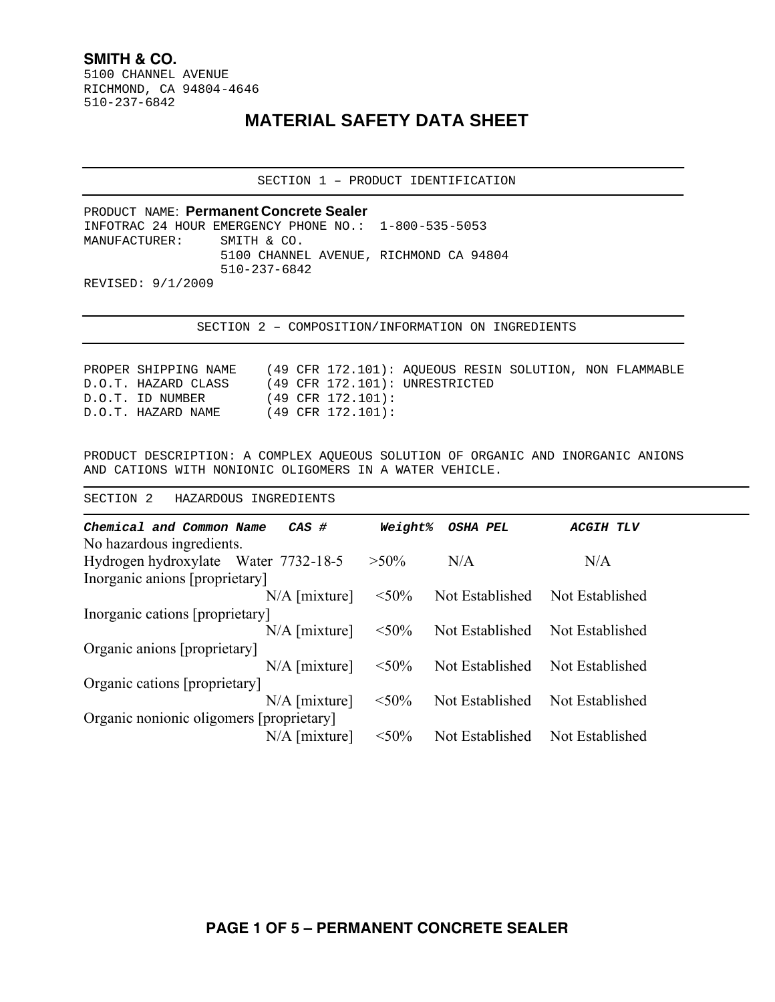## **SMITH & CO.**

5100 CHANNEL AVENUE RICHMOND, CA 94804-4646 510-237-6842

## **MATERIAL SAFETY DATA SHEET**

SECTION 1 – PRODUCT IDENTIFICATION

PRODUCT NAME: **Permanent Concrete Sealer**  INFOTRAC 24 HOUR EMERGENCY PHONE NO.: 1-800-535-5053 MANUFACTURER: SMITH & CO. 5100 CHANNEL AVENUE, RICHMOND CA 94804 510-237-6842 REVISED: 9/1/2009

SECTION 2 – COMPOSITION/INFORMATION ON INGREDIENTS

PROPER SHIPPING NAME (49 CFR 172.101): AQUEOUS RESIN SOLUTION, NON FLAMMABLE D.O.T. HAZARD CLASS (49 CFR 172.101): UNRESTRICTED D.O.T. ID NUMBER (49 CFR 172.101): D.O.T. HAZARD NAME (49 CFR 172.101):

PRODUCT DESCRIPTION: A COMPLEX AQUEOUS SOLUTION OF ORGANIC AND INORGANIC ANIONS AND CATIONS WITH NONIONIC OLIGOMERS IN A WATER VEHICLE.

SECTION 2 HAZARDOUS INGREDIENTS

| Chemical and Common Name                 | $CAS$ #         | Weight%  | <b>OSHA PEL</b> | <b>ACGIH TLV</b> |
|------------------------------------------|-----------------|----------|-----------------|------------------|
| No hazardous ingredients.                |                 |          |                 |                  |
| Hydrogen hydroxylate Water 7732-18-5     |                 | $>50\%$  | N/A             | N/A              |
| Inorganic anions [proprietary]           |                 |          |                 |                  |
|                                          | $N/A$ [mixture] | $< 50\%$ | Not Established | Not Established  |
| Inorganic cations [proprietary]          |                 |          |                 |                  |
|                                          | $N/A$ [mixture] | $<$ 50%  | Not Established | Not Established  |
| Organic anions [proprietary]             |                 |          |                 |                  |
|                                          | $N/A$ [mixture] | $< 50\%$ | Not Established | Not Established  |
| Organic cations [proprietary]            |                 |          |                 |                  |
|                                          | $N/A$ [mixture] | $< 50\%$ | Not Established | Not Established  |
| Organic nonionic oligomers [proprietary] |                 |          |                 |                  |
|                                          | $N/A$ [mixture] | $< 50\%$ | Not Established | Not Established  |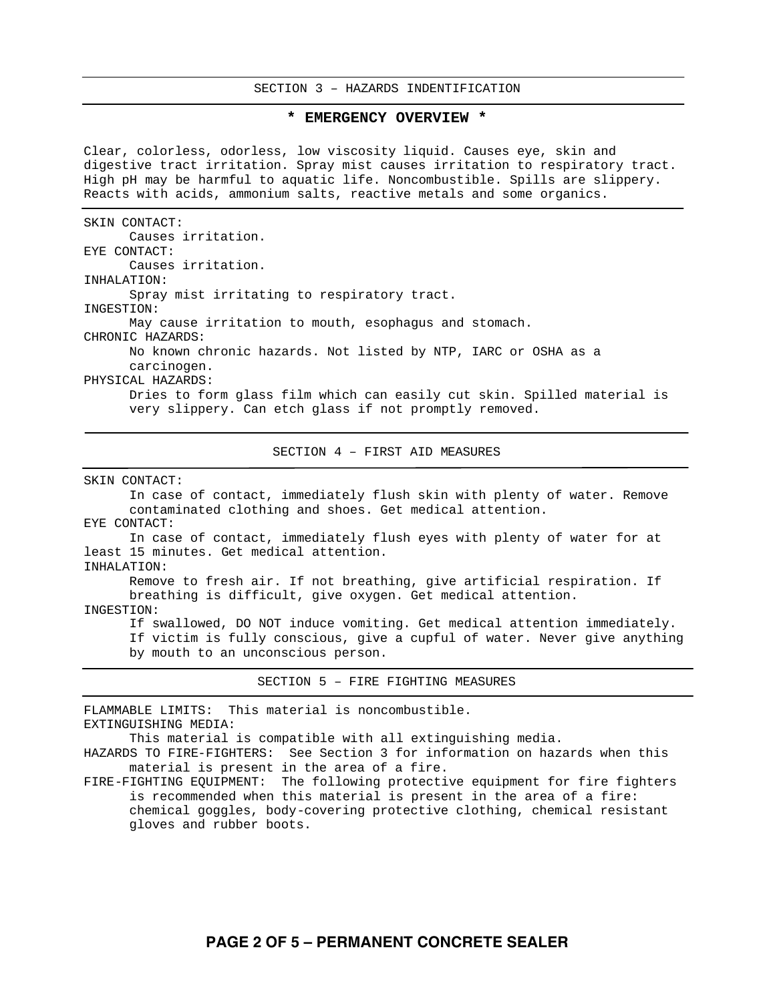## SECTION 3 – HAZARDS INDENTIFICATION

## **\* EMERGENCY OVERVIEW \***

Clear, colorless, odorless, low viscosity liquid. Causes eye, skin and digestive tract irritation. Spray mist causes irritation to respiratory tract. High pH may be harmful to aquatic life. Noncombustible. Spills are slippery. Reacts with acids, ammonium salts, reactive metals and some organics.

SKIN CONTACT: Causes irritation. EYE CONTACT: Causes irritation. INHALATION: Spray mist irritating to respiratory tract. INGESTION: May cause irritation to mouth, esophagus and stomach. CHRONIC HAZARDS: No known chronic hazards. Not listed by NTP, IARC or OSHA as a carcinogen. PHYSICAL HAZARDS: Dries to form glass film which can easily cut skin. Spilled material is very slippery. Can etch glass if not promptly removed.

SECTION 4 – FIRST AID MEASURES

SKIN CONTACT:

In case of contact, immediately flush skin with plenty of water. Remove contaminated clothing and shoes. Get medical attention. EYE CONTACT: In case of contact, immediately flush eyes with plenty of water for at least 15 minutes. Get medical attention. INHALATION: Remove to fresh air. If not breathing, give artificial respiration. If breathing is difficult, give oxygen. Get medical attention. INGESTION: If swallowed, DO NOT induce vomiting. Get medical attention immediately. If victim is fully conscious, give a cupful of water. Never give anything by mouth to an unconscious person.

SECTION 5 – FIRE FIGHTING MEASURES

FLAMMABLE LIMITS: This material is noncombustible. EXTINGUISHING MEDIA: This material is compatible with all extinguishing media. HAZARDS TO FIRE-FIGHTERS: See Section 3 for information on hazards when this material is present in the area of a fire. FIRE-FIGHTING EQUIPMENT: The following protective equipment for fire fighters is recommended when this material is present in the area of a fire:

chemical goggles, body-covering protective clothing, chemical resistant gloves and rubber boots.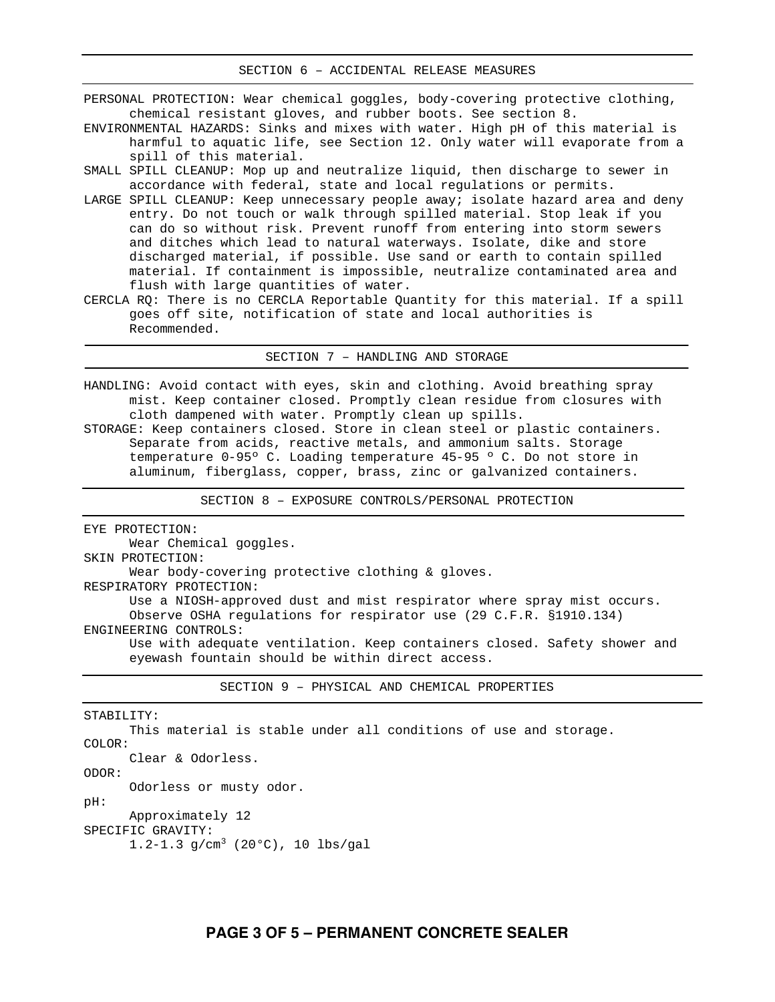PERSONAL PROTECTION: Wear chemical goggles, body-covering protective clothing, chemical resistant gloves, and rubber boots. See section 8.

- ENVIRONMENTAL HAZARDS: Sinks and mixes with water. High pH of this material is harmful to aquatic life, see Section 12. Only water will evaporate from a spill of this material.
- SMALL SPILL CLEANUP: Mop up and neutralize liquid, then discharge to sewer in accordance with federal, state and local regulations or permits.
- LARGE SPILL CLEANUP: Keep unnecessary people away; isolate hazard area and deny entry. Do not touch or walk through spilled material. Stop leak if you can do so without risk. Prevent runoff from entering into storm sewers and ditches which lead to natural waterways. Isolate, dike and store discharged material, if possible. Use sand or earth to contain spilled material. If containment is impossible, neutralize contaminated area and flush with large quantities of water.
- CERCLA RQ: There is no CERCLA Reportable Quantity for this material. If a spill goes off site, notification of state and local authorities is Recommended.

SECTION 7 – HANDLING AND STORAGE

HANDLING: Avoid contact with eyes, skin and clothing. Avoid breathing spray mist. Keep container closed. Promptly clean residue from closures with cloth dampened with water. Promptly clean up spills. STORAGE: Keep containers closed. Store in clean steel or plastic containers. Separate from acids, reactive metals, and ammonium salts. Storage temperature 0-95º C. Loading temperature 45-95 º C. Do not store in aluminum, fiberglass, copper, brass, zinc or galvanized containers.

SECTION 8 – EXPOSURE CONTROLS/PERSONAL PROTECTION

EYE PROTECTION: Wear Chemical goggles. SKIN PROTECTION: Wear body-covering protective clothing & gloves. RESPIRATORY PROTECTION: Use a NIOSH-approved dust and mist respirator where spray mist occurs. Observe OSHA regulations for respirator use (29 C.F.R. §1910.134) ENGINEERING CONTROLS: Use with adequate ventilation. Keep containers closed. Safety shower and eyewash fountain should be within direct access.

SECTION 9 – PHYSICAL AND CHEMICAL PROPERTIES

STABILITY: This material is stable under all conditions of use and storage. COLOR: Clear & Odorless. ODOR: Odorless or musty odor. pH: Approximately 12 SPECIFIC GRAVITY: 1.2-1.3  $g/cm^3$  (20°C), 10 lbs/gal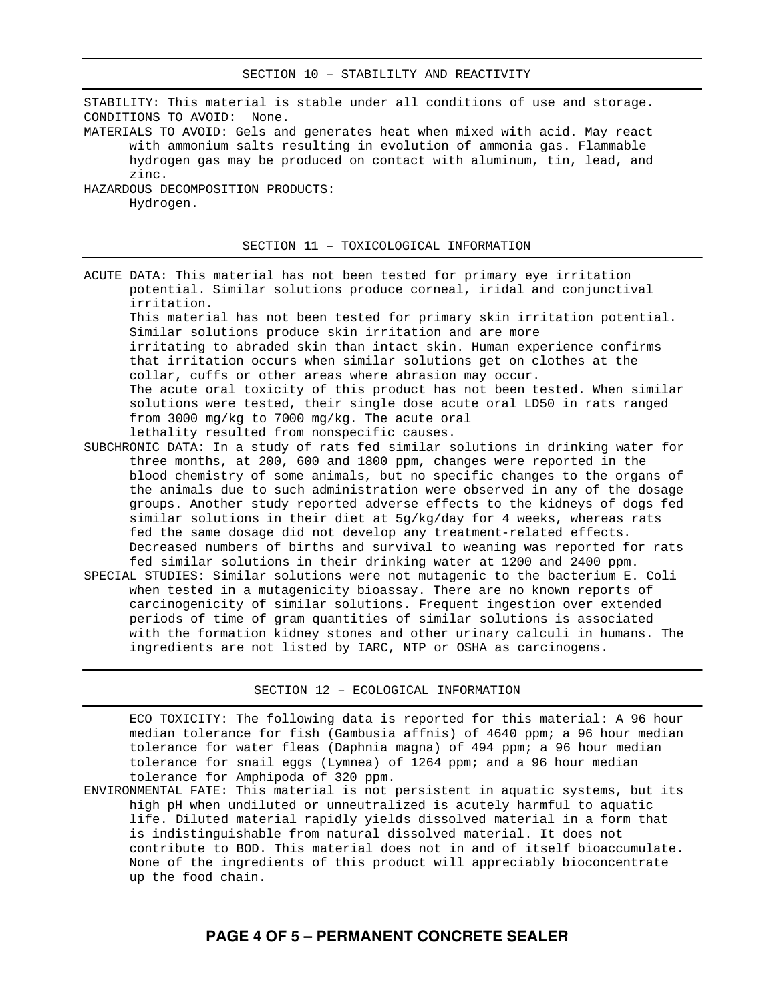STABILITY: This material is stable under all conditions of use and storage. CONDITIONS TO AVOID: None. MATERIALS TO AVOID: Gels and generates heat when mixed with acid. May react with ammonium salts resulting in evolution of ammonia gas. Flammable hydrogen gas may be produced on contact with aluminum, tin, lead, and zinc. HAZARDOUS DECOMPOSITION PRODUCTS: Hydrogen.

SECTION 11 – TOXICOLOGICAL INFORMATION

ACUTE DATA: This material has not been tested for primary eye irritation potential. Similar solutions produce corneal, iridal and conjunctival irritation. This material has not been tested for primary skin irritation potential. Similar solutions produce skin irritation and are more irritating to abraded skin than intact skin. Human experience confirms that irritation occurs when similar solutions get on clothes at the collar, cuffs or other areas where abrasion may occur. The acute oral toxicity of this product has not been tested. When similar solutions were tested, their single dose acute oral LD50 in rats ranged from 3000 mg/kg to 7000 mg/kg. The acute oral lethality resulted from nonspecific causes.

- SUBCHRONIC DATA: In a study of rats fed similar solutions in drinking water for three months, at 200, 600 and 1800 ppm, changes were reported in the blood chemistry of some animals, but no specific changes to the organs of the animals due to such administration were observed in any of the dosage groups. Another study reported adverse effects to the kidneys of dogs fed similar solutions in their diet at 5g/kg/day for 4 weeks, whereas rats fed the same dosage did not develop any treatment-related effects. Decreased numbers of births and survival to weaning was reported for rats fed similar solutions in their drinking water at 1200 and 2400 ppm.
- SPECIAL STUDIES: Similar solutions were not mutagenic to the bacterium E. Coli when tested in a mutagenicity bioassay. There are no known reports of carcinogenicity of similar solutions. Frequent ingestion over extended periods of time of gram quantities of similar solutions is associated with the formation kidney stones and other urinary calculi in humans. The ingredients are not listed by IARC, NTP or OSHA as carcinogens.

SECTION 12 – ECOLOGICAL INFORMATION

ECO TOXICITY: The following data is reported for this material: A 96 hour median tolerance for fish (Gambusia affnis) of 4640 ppm; a 96 hour median tolerance for water fleas (Daphnia magna) of 494 ppm; a 96 hour median tolerance for snail eggs (Lymnea) of 1264 ppm; and a 96 hour median tolerance for Amphipoda of 320 ppm.

ENVIRONMENTAL FATE: This material is not persistent in aquatic systems, but its high pH when undiluted or unneutralized is acutely harmful to aquatic life. Diluted material rapidly yields dissolved material in a form that is indistinguishable from natural dissolved material. It does not contribute to BOD. This material does not in and of itself bioaccumulate. None of the ingredients of this product will appreciably bioconcentrate up the food chain.